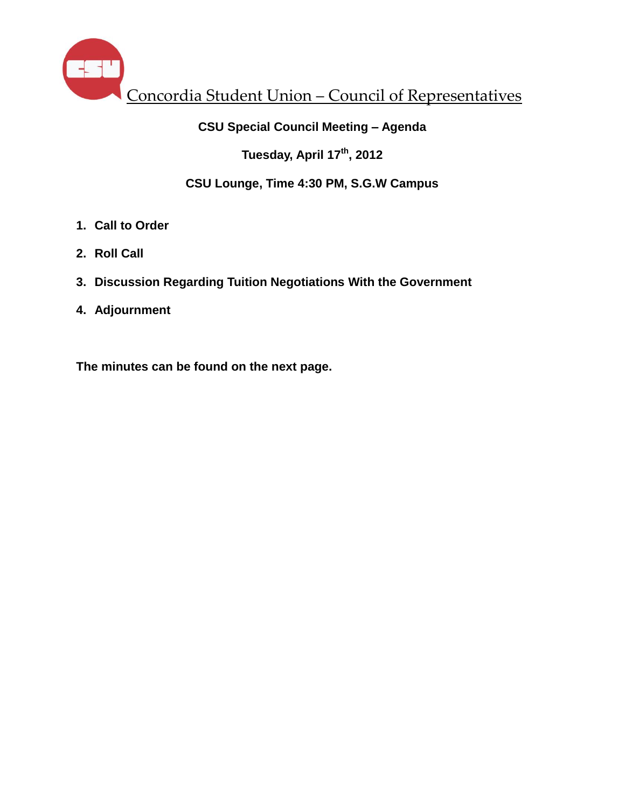

### **CSU Special Council Meeting – Agenda**

**Tuesday, April 17th , 2012**

### **CSU Lounge, Time 4:30 PM, S.G.W Campus**

- **1. Call to Order**
- **2. Roll Call**
- **3. Discussion Regarding Tuition Negotiations With the Government**
- **4. Adjournment**

**The minutes can be found on the next page.**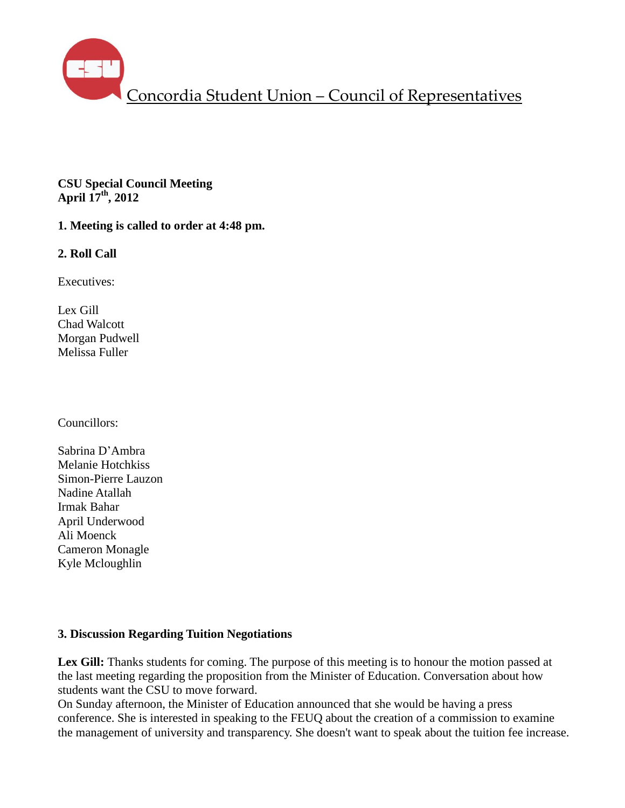

**CSU Special Council Meeting April 17th, 2012**

**1. Meeting is called to order at 4:48 pm.**

### **2. Roll Call**

Executives:

Lex Gill Chad Walcott Morgan Pudwell Melissa Fuller

Councillors:

Sabrina D'Ambra Melanie Hotchkiss Simon-Pierre Lauzon Nadine Atallah Irmak Bahar April Underwood Ali Moenck Cameron Monagle Kyle Mcloughlin

### **3. Discussion Regarding Tuition Negotiations**

Lex Gill: Thanks students for coming. The purpose of this meeting is to honour the motion passed at the last meeting regarding the proposition from the Minister of Education. Conversation about how students want the CSU to move forward.

On Sunday afternoon, the Minister of Education announced that she would be having a press conference. She is interested in speaking to the FEUQ about the creation of a commission to examine the management of university and transparency. She doesn't want to speak about the tuition fee increase.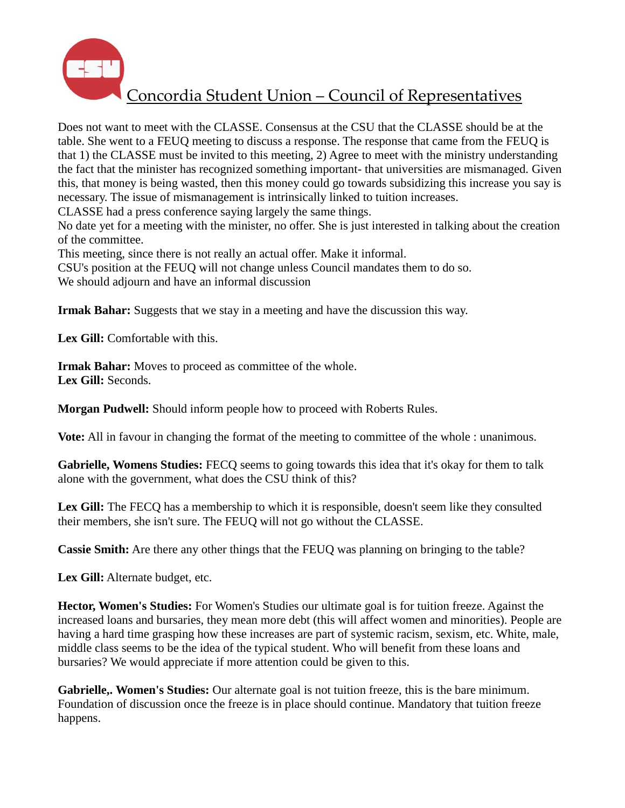

Does not want to meet with the CLASSE. Consensus at the CSU that the CLASSE should be at the table. She went to a FEUQ meeting to discuss a response. The response that came from the FEUQ is that 1) the CLASSE must be invited to this meeting, 2) Agree to meet with the ministry understanding the fact that the minister has recognized something important- that universities are mismanaged. Given this, that money is being wasted, then this money could go towards subsidizing this increase you say is necessary. The issue of mismanagement is intrinsically linked to tuition increases.

CLASSE had a press conference saying largely the same things.

No date yet for a meeting with the minister, no offer. She is just interested in talking about the creation of the committee.

This meeting, since there is not really an actual offer. Make it informal.

CSU's position at the FEUQ will not change unless Council mandates them to do so. We should adjourn and have an informal discussion

**Irmak Bahar:** Suggests that we stay in a meeting and have the discussion this way.

**Lex Gill:** Comfortable with this.

**Irmak Bahar:** Moves to proceed as committee of the whole. **Lex Gill:** Seconds.

**Morgan Pudwell:** Should inform people how to proceed with Roberts Rules.

**Vote:** All in favour in changing the format of the meeting to committee of the whole : unanimous.

**Gabrielle, Womens Studies:** FECQ seems to going towards this idea that it's okay for them to talk alone with the government, what does the CSU think of this?

Lex Gill: The FECQ has a membership to which it is responsible, doesn't seem like they consulted their members, she isn't sure. The FEUQ will not go without the CLASSE.

**Cassie Smith:** Are there any other things that the FEUQ was planning on bringing to the table?

**Lex Gill:** Alternate budget, etc.

**Hector, Women's Studies:** For Women's Studies our ultimate goal is for tuition freeze. Against the increased loans and bursaries, they mean more debt (this will affect women and minorities). People are having a hard time grasping how these increases are part of systemic racism, sexism, etc. White, male, middle class seems to be the idea of the typical student. Who will benefit from these loans and bursaries? We would appreciate if more attention could be given to this.

Gabrielle,. Women's Studies: Our alternate goal is not tuition freeze, this is the bare minimum. Foundation of discussion once the freeze is in place should continue. Mandatory that tuition freeze happens.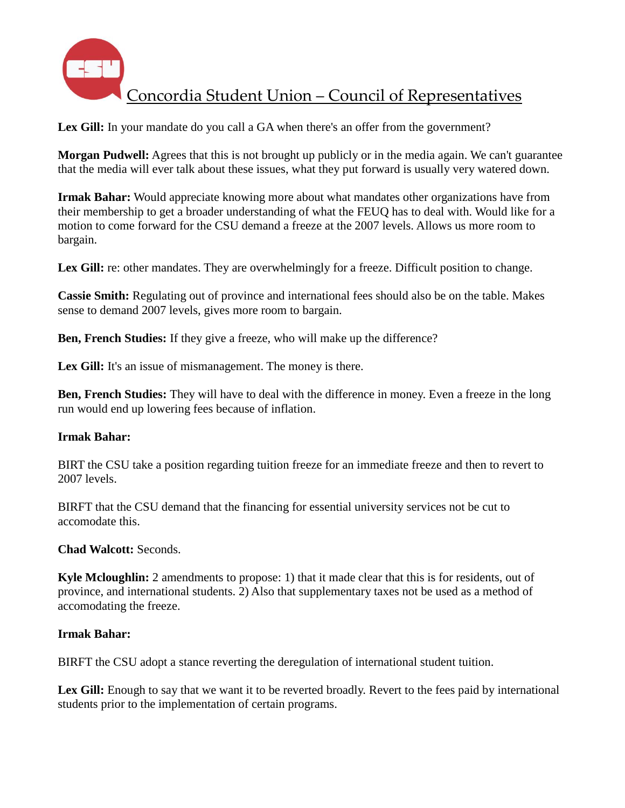

Lex Gill: In your mandate do you call a GA when there's an offer from the government?

**Morgan Pudwell:** Agrees that this is not brought up publicly or in the media again. We can't guarantee that the media will ever talk about these issues, what they put forward is usually very watered down.

**Irmak Bahar:** Would appreciate knowing more about what mandates other organizations have from their membership to get a broader understanding of what the FEUQ has to deal with. Would like for a motion to come forward for the CSU demand a freeze at the 2007 levels. Allows us more room to bargain.

Lex Gill: re: other mandates. They are overwhelmingly for a freeze. Difficult position to change.

**Cassie Smith:** Regulating out of province and international fees should also be on the table. Makes sense to demand 2007 levels, gives more room to bargain.

**Ben, French Studies:** If they give a freeze, who will make up the difference?

Lex Gill: It's an issue of mismanagement. The money is there.

**Ben, French Studies:** They will have to deal with the difference in money. Even a freeze in the long run would end up lowering fees because of inflation.

### **Irmak Bahar:**

BIRT the CSU take a position regarding tuition freeze for an immediate freeze and then to revert to 2007 levels.

BIRFT that the CSU demand that the financing for essential university services not be cut to accomodate this.

**Chad Walcott:** Seconds.

**Kyle Mcloughlin:** 2 amendments to propose: 1) that it made clear that this is for residents, out of province, and international students. 2) Also that supplementary taxes not be used as a method of accomodating the freeze.

### **Irmak Bahar:**

BIRFT the CSU adopt a stance reverting the deregulation of international student tuition.

Lex Gill: Enough to say that we want it to be reverted broadly. Revert to the fees paid by international students prior to the implementation of certain programs.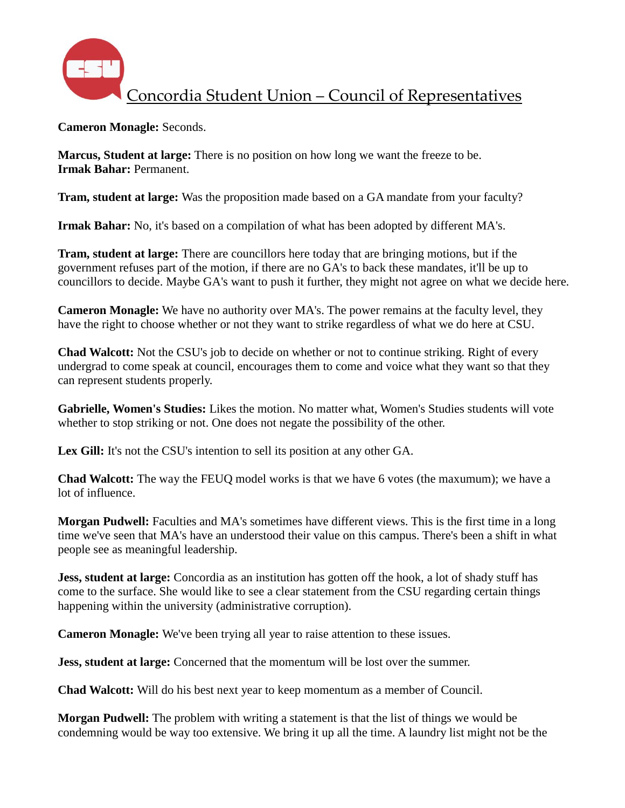

**Cameron Monagle:** Seconds.

**Marcus, Student at large:** There is no position on how long we want the freeze to be. **Irmak Bahar:** Permanent.

**Tram, student at large:** Was the proposition made based on a GA mandate from your faculty?

**Irmak Bahar:** No, it's based on a compilation of what has been adopted by different MA's.

**Tram, student at large:** There are councillors here today that are bringing motions, but if the government refuses part of the motion, if there are no GA's to back these mandates, it'll be up to councillors to decide. Maybe GA's want to push it further, they might not agree on what we decide here.

**Cameron Monagle:** We have no authority over MA's. The power remains at the faculty level, they have the right to choose whether or not they want to strike regardless of what we do here at CSU.

**Chad Walcott:** Not the CSU's job to decide on whether or not to continue striking. Right of every undergrad to come speak at council, encourages them to come and voice what they want so that they can represent students properly.

**Gabrielle, Women's Studies:** Likes the motion. No matter what, Women's Studies students will vote whether to stop striking or not. One does not negate the possibility of the other.

**Lex Gill:** It's not the CSU's intention to sell its position at any other GA.

**Chad Walcott:** The way the FEUQ model works is that we have 6 votes (the maxumum); we have a lot of influence.

**Morgan Pudwell:** Faculties and MA's sometimes have different views. This is the first time in a long time we've seen that MA's have an understood their value on this campus. There's been a shift in what people see as meaningful leadership.

**Jess, student at large:** Concordia as an institution has gotten off the hook, a lot of shady stuff has come to the surface. She would like to see a clear statement from the CSU regarding certain things happening within the university (administrative corruption).

**Cameron Monagle:** We've been trying all year to raise attention to these issues.

**Jess, student at large:** Concerned that the momentum will be lost over the summer.

**Chad Walcott:** Will do his best next year to keep momentum as a member of Council.

**Morgan Pudwell:** The problem with writing a statement is that the list of things we would be condemning would be way too extensive. We bring it up all the time. A laundry list might not be the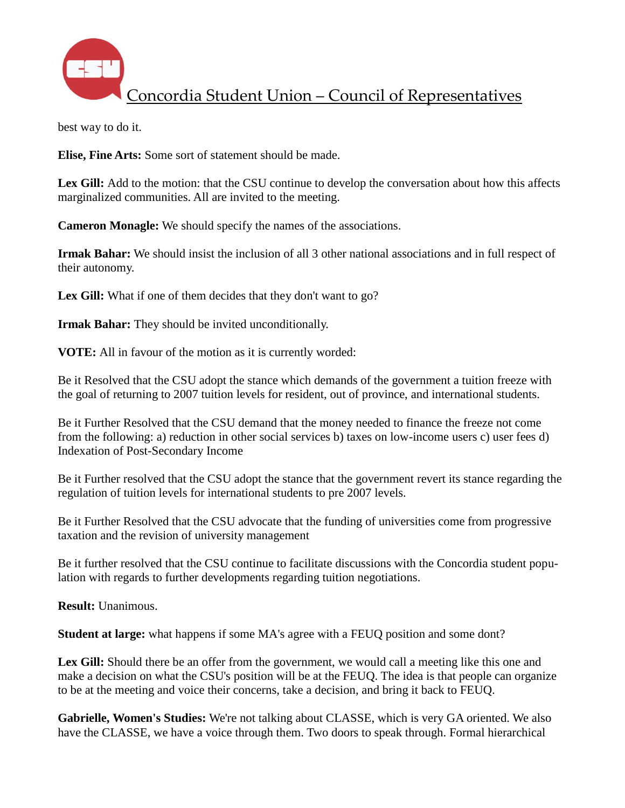

best way to do it.

**Elise, Fine Arts:** Some sort of statement should be made.

**Lex Gill:** Add to the motion: that the CSU continue to develop the conversation about how this affects marginalized communities. All are invited to the meeting.

**Cameron Monagle:** We should specify the names of the associations.

**Irmak Bahar:** We should insist the inclusion of all 3 other national associations and in full respect of their autonomy.

Lex Gill: What if one of them decides that they don't want to go?

**Irmak Bahar:** They should be invited unconditionally.

**VOTE:** All in favour of the motion as it is currently worded:

Be it Resolved that the CSU adopt the stance which demands of the government a tuition freeze with the goal of returning to 2007 tuition levels for resident, out of province, and international students.

Be it Further Resolved that the CSU demand that the money needed to finance the freeze not come from the following: a) reduction in other social services b) taxes on low-income users c) user fees d) Indexation of Post-Secondary Income

Be it Further resolved that the CSU adopt the stance that the government revert its stance regarding the regulation of tuition levels for international students to pre 2007 levels.

Be it Further Resolved that the CSU advocate that the funding of universities come from progressive taxation and the revision of university management

Be it further resolved that the CSU continue to facilitate discussions with the Concordia student population with regards to further developments regarding tuition negotiations.

**Result:** Unanimous.

**Student at large:** what happens if some MA's agree with a FEUQ position and some dont?

Lex Gill: Should there be an offer from the government, we would call a meeting like this one and make a decision on what the CSU's position will be at the FEUQ. The idea is that people can organize to be at the meeting and voice their concerns, take a decision, and bring it back to FEUQ.

**Gabrielle, Women's Studies:** We're not talking about CLASSE, which is very GA oriented. We also have the CLASSE, we have a voice through them. Two doors to speak through. Formal hierarchical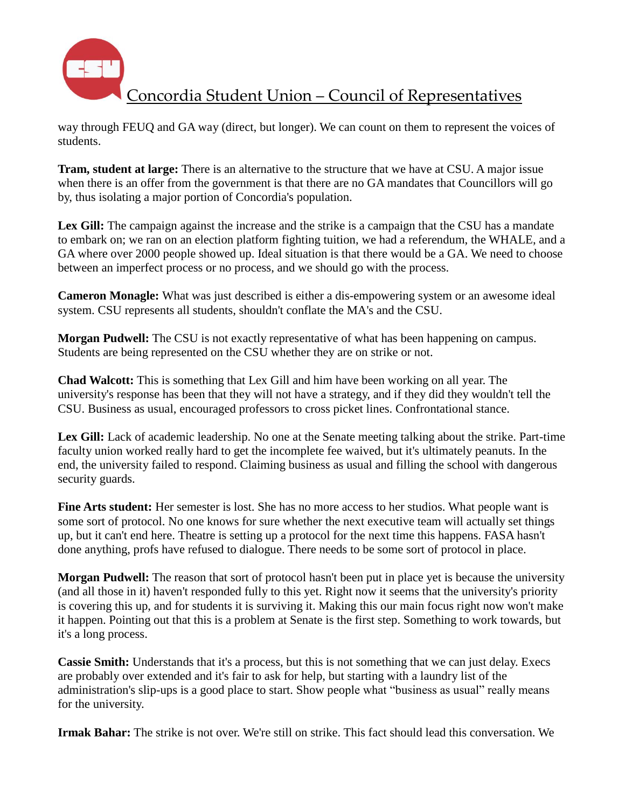

way through FEUQ and GA way (direct, but longer). We can count on them to represent the voices of students.

**Tram, student at large:** There is an alternative to the structure that we have at CSU. A major issue when there is an offer from the government is that there are no GA mandates that Councillors will go by, thus isolating a major portion of Concordia's population.

Lex Gill: The campaign against the increase and the strike is a campaign that the CSU has a mandate to embark on; we ran on an election platform fighting tuition, we had a referendum, the WHALE, and a GA where over 2000 people showed up. Ideal situation is that there would be a GA. We need to choose between an imperfect process or no process, and we should go with the process.

**Cameron Monagle:** What was just described is either a dis-empowering system or an awesome ideal system. CSU represents all students, shouldn't conflate the MA's and the CSU.

**Morgan Pudwell:** The CSU is not exactly representative of what has been happening on campus. Students are being represented on the CSU whether they are on strike or not.

**Chad Walcott:** This is something that Lex Gill and him have been working on all year. The university's response has been that they will not have a strategy, and if they did they wouldn't tell the CSU. Business as usual, encouraged professors to cross picket lines. Confrontational stance.

Lex Gill: Lack of academic leadership. No one at the Senate meeting talking about the strike. Part-time faculty union worked really hard to get the incomplete fee waived, but it's ultimately peanuts. In the end, the university failed to respond. Claiming business as usual and filling the school with dangerous security guards.

**Fine Arts student:** Her semester is lost. She has no more access to her studios. What people want is some sort of protocol. No one knows for sure whether the next executive team will actually set things up, but it can't end here. Theatre is setting up a protocol for the next time this happens. FASA hasn't done anything, profs have refused to dialogue. There needs to be some sort of protocol in place.

**Morgan Pudwell:** The reason that sort of protocol hasn't been put in place yet is because the university (and all those in it) haven't responded fully to this yet. Right now it seems that the university's priority is covering this up, and for students it is surviving it. Making this our main focus right now won't make it happen. Pointing out that this is a problem at Senate is the first step. Something to work towards, but it's a long process.

**Cassie Smith:** Understands that it's a process, but this is not something that we can just delay. Execs are probably over extended and it's fair to ask for help, but starting with a laundry list of the administration's slip-ups is a good place to start. Show people what "business as usual" really means for the university.

**Irmak Bahar:** The strike is not over. We're still on strike. This fact should lead this conversation. We